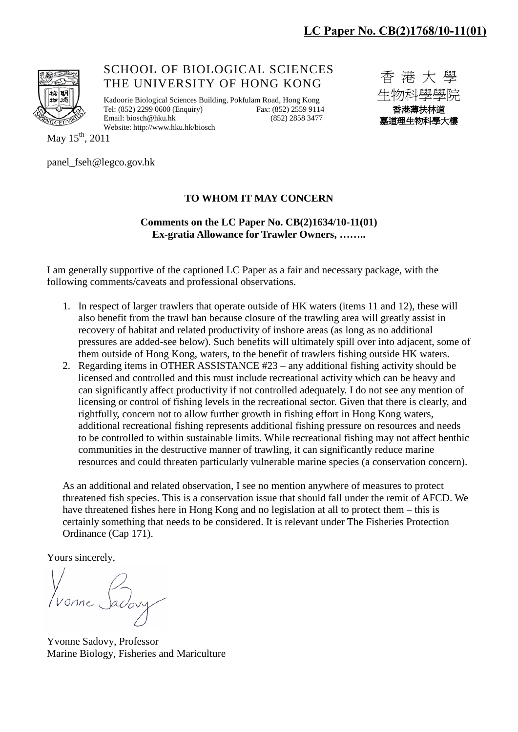

SCHOOL OF BIOLOGICAL SCIENCES THE UNIVERSITY OF HONG KONG

Kadoorie Biological Sciences Building, Pokfulam Road, Hong Kong Tel: (852) 2299 0600 (Enquiry) Fax: (852) 2559 9114<br>Email: biosch@hku.hk (852) 2858 3477 Email[: biosch@hku.hk](mailto:biosch@hku.hk) Website[: http://www.hku.hk/biosch](http://www.hku.hk/biosch)

香 港 大 學 生物科學學院 香港薄扶林道 嘉道理生物科學大樓

May 15<sup>th</sup>, 2011

panel\_fseh@legco.gov.hk

## **TO WHOM IT MAY CONCERN**

## **Comments on the LC Paper No. CB(2)1634/10-11(01) Ex-gratia Allowance for Trawler Owners, ……..**

I am generally supportive of the captioned LC Paper as a fair and necessary package, with the following comments/caveats and professional observations.

- 1. In respect of larger trawlers that operate outside of HK waters (items 11 and 12), these will also benefit from the trawl ban because closure of the trawling area will greatly assist in recovery of habitat and related productivity of inshore areas (as long as no additional pressures are added-see below). Such benefits will ultimately spill over into adjacent, some of them outside of Hong Kong, waters, to the benefit of trawlers fishing outside HK waters.
- 2. Regarding items in OTHER ASSISTANCE #23 any additional fishing activity should be licensed and controlled and this must include recreational activity which can be heavy and can significantly affect productivity if not controlled adequately. I do not see any mention of licensing or control of fishing levels in the recreational sector. Given that there is clearly, and rightfully, concern not to allow further growth in fishing effort in Hong Kong waters, additional recreational fishing represents additional fishing pressure on resources and needs to be controlled to within sustainable limits. While recreational fishing may not affect benthic communities in the destructive manner of trawling, it can significantly reduce marine resources and could threaten particularly vulnerable marine species (a conservation concern).

As an additional and related observation, I see no mention anywhere of measures to protect threatened fish species. This is a conservation issue that should fall under the remit of AFCD. We have threatened fishes here in Hong Kong and no legislation at all to protect them – this is certainly something that needs to be considered. It is relevant under The Fisheries Protection Ordinance (Cap 171).

Yours sincerely,

Yvonne Sadovy, Professor Marine Biology, Fisheries and Mariculture